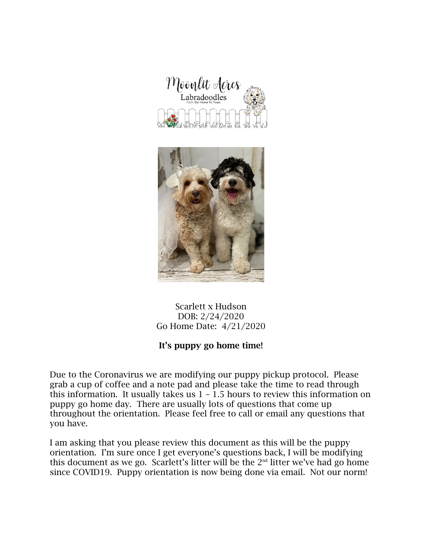



## Scarlett x Hudson DOB: 2/24/2020 Go Home Date: 4/21/2020

# It's puppy go home time!

Due to the Coronavirus we are modifying our puppy pickup protocol. Please grab a cup of coffee and a note pad and please take the time to read through this information. It usually takes us  $1 - 1.5$  hours to review this information on puppy go home day. There are usually lots of questions that come up throughout the orientation. Please feel free to call or email any questions that you have.

I am asking that you please review this document as this will be the puppy orientation. I'm sure once I get everyone's questions back, I will be modifying this document as we go. Scarlett's litter will be the  $2<sup>nd</sup>$  litter we've had go home since COVID19. Puppy orientation is now being done via email. Not our norm!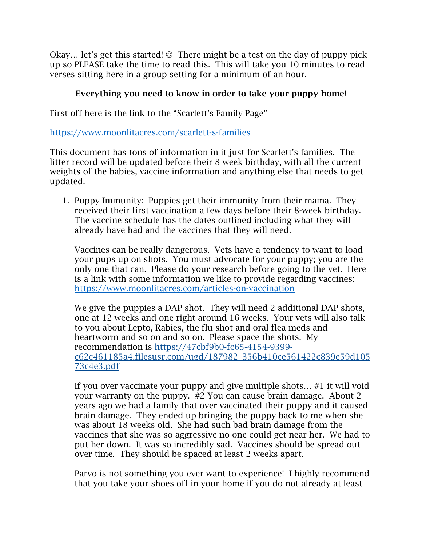Okay... let's get this started!  $\odot$  There might be a test on the day of puppy pick up so PLEASE take the time to read this. This will take you 10 minutes to read verses sitting here in a group setting for a minimum of an hour.

## Everything you need to know in order to take your puppy home!

First off here is the link to the "Scarlett's Family Page"

https://www.moonlitacres.com/scarlett-s-families

This document has tons of information in it just for Scarlett's families. The litter record will be updated before their 8 week birthday, with all the current weights of the babies, vaccine information and anything else that needs to get updated.

1. Puppy Immunity: Puppies get their immunity from their mama. They received their first vaccination a few days before their 8-week birthday. The vaccine schedule has the dates outlined including what they will already have had and the vaccines that they will need.

Vaccines can be really dangerous. Vets have a tendency to want to load your pups up on shots. You must advocate for your puppy; you are the only one that can. Please do your research before going to the vet. Here is a link with some information we like to provide regarding vaccines: https://www.moonlitacres.com/articles-on-vaccination

We give the puppies a DAP shot. They will need 2 additional DAP shots, one at 12 weeks and one right around 16 weeks. Your vets will also talk to you about Lepto, Rabies, the flu shot and oral flea meds and heartworm and so on and so on. Please space the shots. My recommendation is https://47cbf9b0-fc65-4154-9399 c62c461185a4.filesusr.com/ugd/187982\_356b410ce561422c839e59d105 73c4e3.pdf

If you over vaccinate your puppy and give multiple shots… #1 it will void your warranty on the puppy. #2 You can cause brain damage. About 2 years ago we had a family that over vaccinated their puppy and it caused brain damage. They ended up bringing the puppy back to me when she was about 18 weeks old. She had such bad brain damage from the vaccines that she was so aggressive no one could get near her. We had to put her down. It was so incredibly sad. Vaccines should be spread out over time. They should be spaced at least 2 weeks apart.

Parvo is not something you ever want to experience! I highly recommend that you take your shoes off in your home if you do not already at least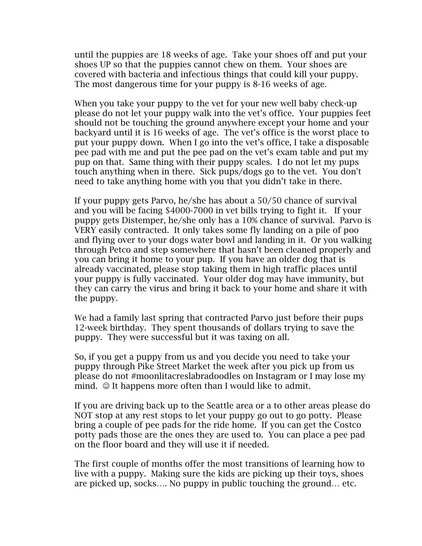until the puppies are 18 weeks of age. Take your shoes off and put your shoes UP so that the puppies cannot chew on them. Your shoes are covered with bacteria and infectious things that could kill your puppy. The most dangerous time for your puppy is 8-16 weeks of age.

When you take your puppy to the vet for your new well baby check-up please do not let your puppy walk into the vet's office. Your puppies feet should not be touching the ground anywhere except your home and your backyard until it is 16 weeks of age. The vet's office is the worst place to put your puppy down. When I go into the vet's office, I take a disposable pee pad with me and put the pee pad on the vet's exam table and put my pup on that. Same thing with their puppy scales. I do not let my pups touch anything when in there. Sick pups/dogs go to the vet. You don't need to take anything home with you that you didn't take in there.

If your puppy gets Parvo, he/she has about a 50/50 chance of survival and you will be facing \$4000-7000 in vet bills trying to fight it. If your puppy gets Distemper, he/she only has a 10% chance of survival. Parvo is VERY easily contracted. It only takes some fly landing on a pile of poo and flying over to your dogs water bowl and landing in it. Or you walking through Petco and step somewhere that hasn't been cleaned properly and you can bring it home to your pup. If you have an older dog that is already vaccinated, please stop taking them in high traffic places until your puppy is fully vaccinated. Your older dog may have immunity, but they can carry the virus and bring it back to your home and share it with the puppy.

We had a family last spring that contracted Parvo just before their pups 12-week birthday. They spent thousands of dollars trying to save the puppy. They were successful but it was taxing on all.

So, if you get a puppy from us and you decide you need to take your puppy through Pike Street Market the week after you pick up from us please do not #moonlitacreslabradoodles on Instagram or I may lose my mind.  $\odot$  It happens more often than I would like to admit.

If you are driving back up to the Seattle area or a to other areas please do NOT stop at any rest stops to let your puppy go out to go potty. Please bring a couple of pee pads for the ride home. If you can get the Costco potty pads those are the ones they are used to. You can place a pee pad on the floor board and they will use it if needed.

The first couple of months offer the most transitions of learning how to live with a puppy. Making sure the kids are picking up their toys, shoes are picked up, socks…. No puppy in public touching the ground… etc.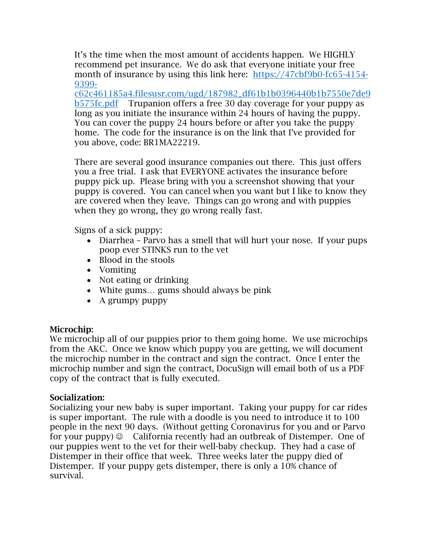It's the time when the most amount of accidents happen. We HIGHLY recommend pet insurance. We do ask that everyone initiate your free month of insurance by using this link here: https://47cbf9b0-fc65-4154- 9399-

c62c461185a4.filesusr.com/ugd/187982\_df61b1b0396440b1b7550e7de9 b575fc.pdf Trupanion offers a free 30 day coverage for your puppy as long as you initiate the insurance within 24 hours of having the puppy. You can cover the puppy 24 hours before or after you take the puppy home. The code for the insurance is on the link that I've provided for you above, code: BR1MA22219.

There are several good insurance companies out there. This just offers you a free trial. I ask that EVERYONE activates the insurance before puppy pick up. Please bring with you a screenshot showing that your puppy is covered. You can cancel when you want but I like to know they are covered when they leave. Things can go wrong and with puppies when they go wrong, they go wrong really fast.

Signs of a sick puppy:

- Diarrhea Parvo has a smell that will hurt your nose. If your pups poop ever STINKS run to the vet
- Blood in the stools
- Vomiting
- Not eating or drinking
- White gums... gums should always be pink
- A grumpy puppy

#### Microchip:

We microchip all of our puppies prior to them going home. We use microchips from the AKC. Once we know which puppy you are getting, we will document the microchip number in the contract and sign the contract. Once I enter the microchip number and sign the contract, DocuSign will email both of us a PDF copy of the contract that is fully executed.

#### Socialization:

Socializing your new baby is super important. Taking your puppy for car rides is super important. The rule with a doodle is you need to introduce it to 100 people in the next 90 days. (Without getting Coronavirus for you and or Parvo for your puppy)  $\circledcirc$  California recently had an outbreak of Distemper. One of our puppies went to the vet for their well-baby checkup. They had a case of Distemper in their office that week. Three weeks later the puppy died of Distemper. If your puppy gets distemper, there is only a 10% chance of survival.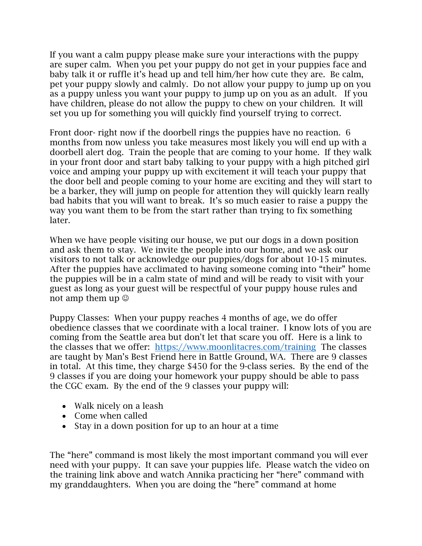If you want a calm puppy please make sure your interactions with the puppy are super calm. When you pet your puppy do not get in your puppies face and baby talk it or ruffle it's head up and tell him/her how cute they are. Be calm, pet your puppy slowly and calmly. Do not allow your puppy to jump up on you as a puppy unless you want your puppy to jump up on you as an adult. If you have children, please do not allow the puppy to chew on your children. It will set you up for something you will quickly find yourself trying to correct.

Front door- right now if the doorbell rings the puppies have no reaction. 6 months from now unless you take measures most likely you will end up with a doorbell alert dog. Train the people that are coming to your home. If they walk in your front door and start baby talking to your puppy with a high pitched girl voice and amping your puppy up with excitement it will teach your puppy that the door bell and people coming to your home are exciting and they will start to be a barker, they will jump on people for attention they will quickly learn really bad habits that you will want to break. It's so much easier to raise a puppy the way you want them to be from the start rather than trying to fix something later.

When we have people visiting our house, we put our dogs in a down position and ask them to stay. We invite the people into our home, and we ask our visitors to not talk or acknowledge our puppies/dogs for about 10-15 minutes. After the puppies have acclimated to having someone coming into "their" home the puppies will be in a calm state of mind and will be ready to visit with your guest as long as your guest will be respectful of your puppy house rules and not amp them up  $\odot$ 

Puppy Classes: When your puppy reaches 4 months of age, we do offer obedience classes that we coordinate with a local trainer. I know lots of you are coming from the Seattle area but don't let that scare you off. Here is a link to the classes that we offer: https://www.moonlitacres.com/training The classes are taught by Man's Best Friend here in Battle Ground, WA. There are 9 classes in total. At this time, they charge \$450 for the 9-class series. By the end of the 9 classes if you are doing your homework your puppy should be able to pass the CGC exam. By the end of the 9 classes your puppy will:

- Walk nicely on a leash
- Come when called
- Stay in a down position for up to an hour at a time

The "here" command is most likely the most important command you will ever need with your puppy. It can save your puppies life. Please watch the video on the training link above and watch Annika practicing her "here" command with my granddaughters. When you are doing the "here" command at home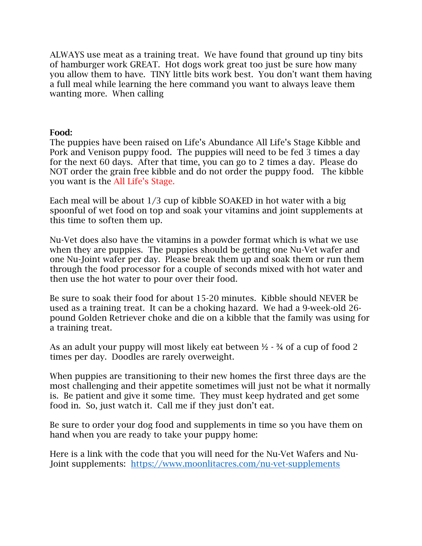ALWAYS use meat as a training treat. We have found that ground up tiny bits of hamburger work GREAT. Hot dogs work great too just be sure how many you allow them to have. TINY little bits work best. You don't want them having a full meal while learning the here command you want to always leave them wanting more. When calling

## Food:

The puppies have been raised on Life's Abundance All Life's Stage Kibble and Pork and Venison puppy food. The puppies will need to be fed 3 times a day for the next 60 days. After that time, you can go to 2 times a day. Please do NOT order the grain free kibble and do not order the puppy food. The kibble you want is the All Life's Stage.

Each meal will be about 1/3 cup of kibble SOAKED in hot water with a big spoonful of wet food on top and soak your vitamins and joint supplements at this time to soften them up.

Nu-Vet does also have the vitamins in a powder format which is what we use when they are puppies. The puppies should be getting one Nu-Vet wafer and one Nu-Joint wafer per day. Please break them up and soak them or run them through the food processor for a couple of seconds mixed with hot water and then use the hot water to pour over their food.

Be sure to soak their food for about 15-20 minutes. Kibble should NEVER be used as a training treat. It can be a choking hazard. We had a 9-week-old 26 pound Golden Retriever choke and die on a kibble that the family was using for a training treat.

As an adult your puppy will most likely eat between  $\frac{1}{2}$  -  $\frac{3}{4}$  of a cup of food 2 times per day. Doodles are rarely overweight.

When puppies are transitioning to their new homes the first three days are the most challenging and their appetite sometimes will just not be what it normally is. Be patient and give it some time. They must keep hydrated and get some food in. So, just watch it. Call me if they just don't eat.

Be sure to order your dog food and supplements in time so you have them on hand when you are ready to take your puppy home:

Here is a link with the code that you will need for the Nu-Vet Wafers and Nu-Joint supplements: https://www.moonlitacres.com/nu-vet-supplements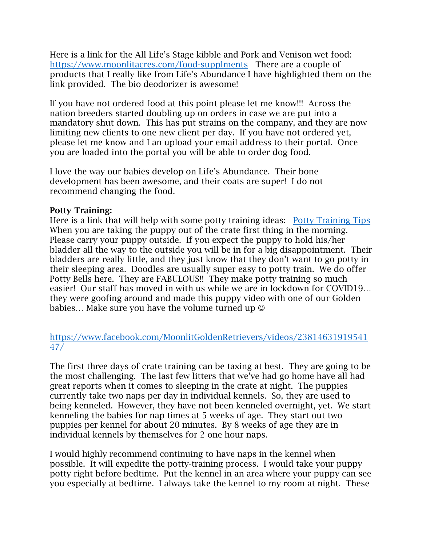Here is a link for the All Life's Stage kibble and Pork and Venison wet food: https://www.moonlitacres.com/food-supplments There are a couple of products that I really like from Life's Abundance I have highlighted them on the link provided. The bio deodorizer is awesome!

If you have not ordered food at this point please let me know!!! Across the nation breeders started doubling up on orders in case we are put into a mandatory shut down. This has put strains on the company, and they are now limiting new clients to one new client per day. If you have not ordered yet, please let me know and I an upload your email address to their portal. Once you are loaded into the portal you will be able to order dog food.

I love the way our babies develop on Life's Abundance. Their bone development has been awesome, and their coats are super! I do not recommend changing the food.

## Potty Training:

Here is a link that will help with some potty training ideas: Potty Training Tips When you are taking the puppy out of the crate first thing in the morning. Please carry your puppy outside. If you expect the puppy to hold his/her bladder all the way to the outside you will be in for a big disappointment. Their bladders are really little, and they just know that they don't want to go potty in their sleeping area. Doodles are usually super easy to potty train. We do offer Potty Bells here. They are FABULOUS!! They make potty training so much easier! Our staff has moved in with us while we are in lockdown for COVID19… they were goofing around and made this puppy video with one of our Golden babies... Make sure you have the volume turned up  $\odot$ 

https://www.facebook.com/MoonlitGoldenRetrievers/videos/23814631919541 47/

The first three days of crate training can be taxing at best. They are going to be the most challenging. The last few litters that we've had go home have all had great reports when it comes to sleeping in the crate at night. The puppies currently take two naps per day in individual kennels. So, they are used to being kenneled. However, they have not been kenneled overnight, yet. We start kenneling the babies for nap times at 5 weeks of age. They start out two puppies per kennel for about 20 minutes. By 8 weeks of age they are in individual kennels by themselves for 2 one hour naps.

I would highly recommend continuing to have naps in the kennel when possible. It will expedite the potty-training process. I would take your puppy potty right before bedtime. Put the kennel in an area where your puppy can see you especially at bedtime. I always take the kennel to my room at night. These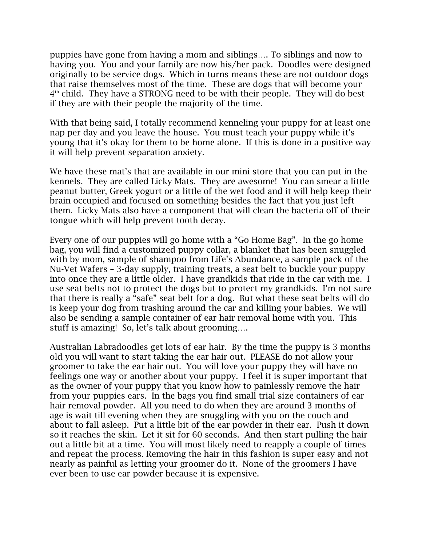puppies have gone from having a mom and siblings…. To siblings and now to having you. You and your family are now his/her pack. Doodles were designed originally to be service dogs. Which in turns means these are not outdoor dogs that raise themselves most of the time. These are dogs that will become your  $4<sup>th</sup>$  child. They have a STRONG need to be with their people. They will do best if they are with their people the majority of the time.

With that being said, I totally recommend kenneling your puppy for at least one nap per day and you leave the house. You must teach your puppy while it's young that it's okay for them to be home alone. If this is done in a positive way it will help prevent separation anxiety.

We have these mat's that are available in our mini store that you can put in the kennels. They are called Licky Mats. They are awesome! You can smear a little peanut butter, Greek yogurt or a little of the wet food and it will help keep their brain occupied and focused on something besides the fact that you just left them. Licky Mats also have a component that will clean the bacteria off of their tongue which will help prevent tooth decay.

Every one of our puppies will go home with a "Go Home Bag". In the go home bag, you will find a customized puppy collar, a blanket that has been snuggled with by mom, sample of shampoo from Life's Abundance, a sample pack of the Nu-Vet Wafers – 3-day supply, training treats, a seat belt to buckle your puppy into once they are a little older. I have grandkids that ride in the car with me. I use seat belts not to protect the dogs but to protect my grandkids. I'm not sure that there is really a  $\frac{a}{b}$  safe" seat belt for a dog. But what these seat belts will do is keep your dog from trashing around the car and killing your babies. We will also be sending a sample container of ear hair removal home with you. This stuff is amazing! So, let's talk about grooming….

Australian Labradoodles get lots of ear hair. By the time the puppy is 3 months old you will want to start taking the ear hair out. PLEASE do not allow your groomer to take the ear hair out. You will love your puppy they will have no feelings one way or another about your puppy. I feel it is super important that as the owner of your puppy that you know how to painlessly remove the hair from your puppies ears. In the bags you find small trial size containers of ear hair removal powder. All you need to do when they are around 3 months of age is wait till evening when they are snuggling with you on the couch and about to fall asleep. Put a little bit of the ear powder in their ear. Push it down so it reaches the skin. Let it sit for 60 seconds. And then start pulling the hair out a little bit at a time. You will most likely need to reapply a couple of times and repeat the process. Removing the hair in this fashion is super easy and not nearly as painful as letting your groomer do it. None of the groomers I have ever been to use ear powder because it is expensive.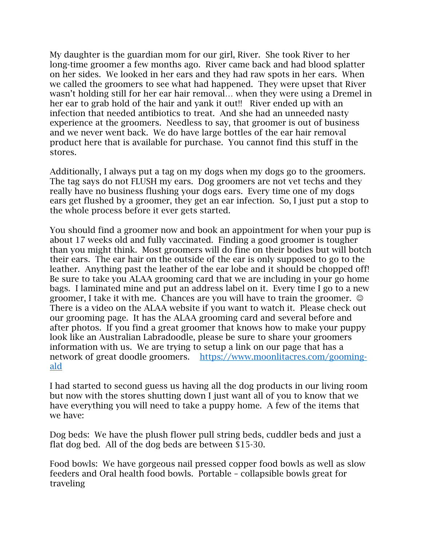My daughter is the guardian mom for our girl, River. She took River to her long-time groomer a few months ago. River came back and had blood splatter on her sides. We looked in her ears and they had raw spots in her ears. When we called the groomers to see what had happened. They were upset that River wasn't holding still for her ear hair removal… when they were using a Dremel in her ear to grab hold of the hair and yank it out!! River ended up with an infection that needed antibiotics to treat. And she had an unneeded nasty experience at the groomers. Needless to say, that groomer is out of business and we never went back. We do have large bottles of the ear hair removal product here that is available for purchase. You cannot find this stuff in the stores.

Additionally, I always put a tag on my dogs when my dogs go to the groomers. The tag says do not FLUSH my ears. Dog groomers are not vet techs and they really have no business flushing your dogs ears. Every time one of my dogs ears get flushed by a groomer, they get an ear infection. So, I just put a stop to the whole process before it ever gets started.

You should find a groomer now and book an appointment for when your pup is about 17 weeks old and fully vaccinated. Finding a good groomer is tougher than you might think. Most groomers will do fine on their bodies but will botch their ears. The ear hair on the outside of the ear is only supposed to go to the leather. Anything past the leather of the ear lobe and it should be chopped off! Be sure to take you ALAA grooming card that we are including in your go home bags. I laminated mine and put an address label on it. Every time I go to a new groomer, I take it with me. Chances are you will have to train the groomer.  $\odot$ There is a video on the ALAA website if you want to watch it. Please check out our grooming page. It has the ALAA grooming card and several before and after photos. If you find a great groomer that knows how to make your puppy look like an Australian Labradoodle, please be sure to share your groomers information with us. We are trying to setup a link on our page that has a network of great doodle groomers. https://www.moonlitacres.com/goomingald

I had started to second guess us having all the dog products in our living room but now with the stores shutting down I just want all of you to know that we have everything you will need to take a puppy home. A few of the items that we have:

Dog beds: We have the plush flower pull string beds, cuddler beds and just a flat dog bed. All of the dog beds are between \$15-30.

Food bowls: We have gorgeous nail pressed copper food bowls as well as slow feeders and Oral health food bowls. Portable – collapsible bowls great for traveling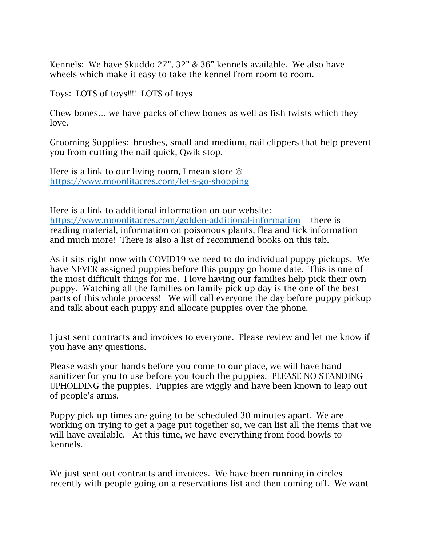Kennels: We have Skuddo 27", 32" & 36" kennels available. We also have wheels which make it easy to take the kennel from room to room.

Toys: LOTS of toys!!!! LOTS of toys

Chew bones… we have packs of chew bones as well as fish twists which they love.

Grooming Supplies: brushes, small and medium, nail clippers that help prevent you from cutting the nail quick, Qwik stop.

Here is a link to our living room, I mean store  $\odot$ https://www.moonlitacres.com/let-s-go-shopping

Here is a link to additional information on our website: https://www.moonlitacres.com/golden-additional-information there is reading material, information on poisonous plants, flea and tick information and much more! There is also a list of recommend books on this tab.

As it sits right now with COVID19 we need to do individual puppy pickups. We have NEVER assigned puppies before this puppy go home date. This is one of the most difficult things for me. I love having our families help pick their own puppy. Watching all the families on family pick up day is the one of the best parts of this whole process! We will call everyone the day before puppy pickup and talk about each puppy and allocate puppies over the phone.

I just sent contracts and invoices to everyone. Please review and let me know if you have any questions.

Please wash your hands before you come to our place, we will have hand sanitizer for you to use before you touch the puppies. PLEASE NO STANDING UPHOLDING the puppies. Puppies are wiggly and have been known to leap out of people's arms.

Puppy pick up times are going to be scheduled 30 minutes apart. We are working on trying to get a page put together so, we can list all the items that we will have available. At this time, we have everything from food bowls to kennels.

We just sent out contracts and invoices. We have been running in circles recently with people going on a reservations list and then coming off. We want